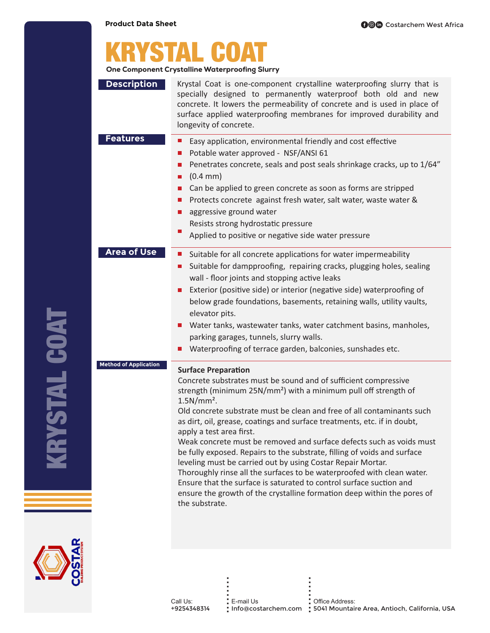|                              | <b>One Component Crystalline Waterproofing Slurry</b>                                                                                                                                                                                                                                                                                                                                                                                                                                                                                                                                                                                                                                                                                                                                                                                           |
|------------------------------|-------------------------------------------------------------------------------------------------------------------------------------------------------------------------------------------------------------------------------------------------------------------------------------------------------------------------------------------------------------------------------------------------------------------------------------------------------------------------------------------------------------------------------------------------------------------------------------------------------------------------------------------------------------------------------------------------------------------------------------------------------------------------------------------------------------------------------------------------|
| <b>Description</b>           | Krystal Coat is one-component crystalline waterproofing slurry that is<br>specially designed to permanently waterproof both old and new<br>concrete. It lowers the permeability of concrete and is used in place of<br>surface applied waterproofing membranes for improved durability and<br>longevity of concrete.                                                                                                                                                                                                                                                                                                                                                                                                                                                                                                                            |
| <b>Features</b>              | Easy application, environmental friendly and cost effective<br>ш<br>Potable water approved - NSF/ANSI 61<br>L.<br>Penetrates concrete, seals and post seals shrinkage cracks, up to 1/64"<br>ш<br>$(0.4 \, \text{mm})$<br>П<br>Can be applied to green concrete as soon as forms are stripped<br>$\Box$<br>Protects concrete against fresh water, salt water, waste water &<br>ш<br>aggressive ground water<br>ш<br>Resists strong hydrostatic pressure<br>ш<br>Applied to positive or negative side water pressure                                                                                                                                                                                                                                                                                                                             |
| <b>Area of Use</b>           | Suitable for all concrete applications for water impermeability<br>ш<br>Suitable for dampproofing, repairing cracks, plugging holes, sealing<br>ш<br>wall - floor joints and stopping active leaks<br>Exterior (positive side) or interior (negative side) waterproofing of<br>$\Box$<br>below grade foundations, basements, retaining walls, utility vaults,<br>elevator pits.<br>Water tanks, wastewater tanks, water catchment basins, manholes,<br>$\Box$<br>parking garages, tunnels, slurry walls.<br>Waterproofing of terrace garden, balconies, sunshades etc.                                                                                                                                                                                                                                                                          |
| <b>Method of Application</b> | <b>Surface Preparation</b><br>Concrete substrates must be sound and of sufficient compressive<br>strength (minimum 25N/mm <sup>2</sup> ) with a minimum pull off strength of<br>$1.5N/mm2$ .<br>Old concrete substrate must be clean and free of all contaminants such<br>as dirt, oil, grease, coatings and surface treatments, etc. if in doubt,<br>apply a test area first.<br>Weak concrete must be removed and surface defects such as voids must<br>be fully exposed. Repairs to the substrate, filling of voids and surface<br>leveling must be carried out by using Costar Repair Mortar.<br>Thoroughly rinse all the surfaces to be waterproofed with clean water.<br>Ensure that the surface is saturated to control surface suction and<br>ensure the growth of the crystalline formation deep within the pores of<br>the substrate. |



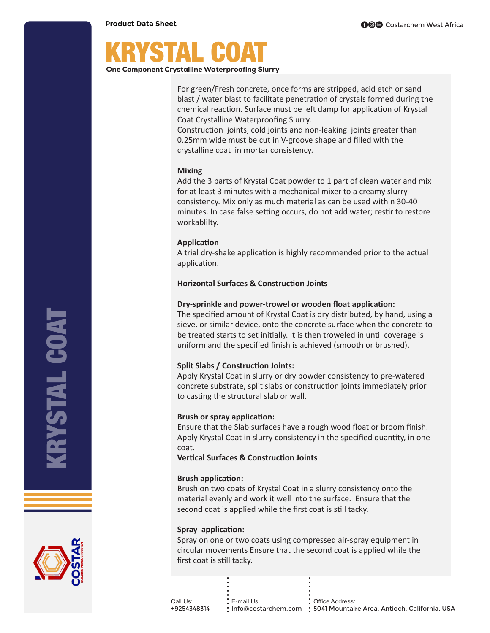## KRYSTAL COAT

One Component Crystalline Waterproofing Slurry

For green/Fresh concrete, once forms are stripped, acid etch or sand blast / water blast to facilitate penetration of crystals formed during the chemical reaction. Surface must be left damp for application of Krystal Coat Crystalline Waterproofing Slurry.

Construction joints, cold joints and non-leaking joints greater than 0.25mm wide must be cut in V-groove shape and filled with the crystalline coat in mortar consistency.

#### **Mixing**

Add the 3 parts of Krystal Coat powder to 1 part of clean water and mix for at least 3 minutes with a mechanical mixer to a creamy slurry consistency. Mix only as much material as can be used within 30-40 minutes. In case false setting occurs, do not add water; restir to restore workablilty.

#### **Application**

A trial dry-shake application is highly recommended prior to the actual application.

#### **Horizontal Surfaces & Construction Joints**

#### **Dry-sprinkle and power-trowel or wooden float application:**

The specified amount of Krystal Coat is dry distributed, by hand, using a sieve, or similar device, onto the concrete surface when the concrete to be treated starts to set initially. It is then troweled in until coverage is uniform and the specified finish is achieved (smooth or brushed).

### **Split Slabs / Construction Joints:**

Apply Krystal Coat in slurry or dry powder consistency to pre-watered concrete substrate, split slabs or construction joints immediately prior to casting the structural slab or wall.

### **Brush or spray application:**

Ensure that the Slab surfaces have a rough wood float or broom finish. Apply Krystal Coat in slurry consistency in the specified quantity, in one coat.

**Vertical Surfaces & Construction Joints** 

#### **Brush application:**

Brush on two coats of Krystal Coat in a slurry consistency onto the material evenly and work it well into the surface. Ensure that the second coat is applied while the first coat is still tacky.

#### **Spray application:**

Spray on one or two coats using compressed air-spray equipment in circular movements Ensure that the second coat is applied while the first coat is still tacky.

Call Us: +9254348314 E-mail Us ......... Info@costarchem.com 5041 Mountaire Area, Antioch, California, USA Office Address: .........

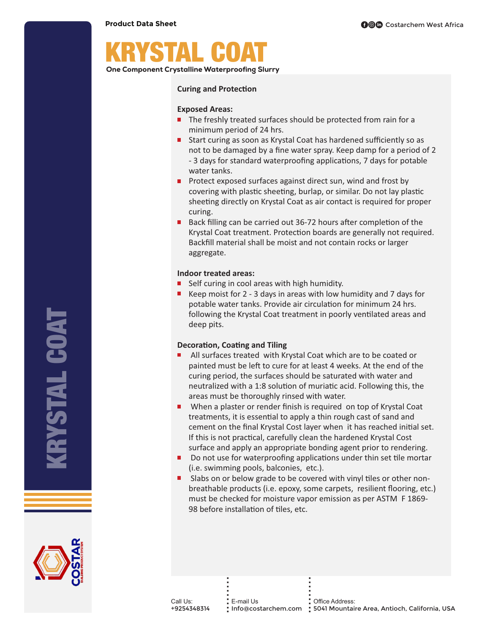# KRYSTAL COAT

One Component Crystalline Waterproofing Slurry

#### **Curing and Protection**

#### **Exposed Areas:**

- $\blacksquare$  The freshly treated surfaces should be protected from rain for a minimum period of 24 hrs.
- $\blacksquare$  Start curing as soon as Krystal Coat has hardened sufficiently so as not to be damaged by a fine water spray. Keep damp for a period of 2 - 3 days for standard waterproofing applications, 7 days for potable water tanks.
- $\blacksquare$  Protect exposed surfaces against direct sun, wind and frost by covering with plastic sheeting, burlap, or similar. Do not lay plastic sheeting directly on Krystal Coat as air contact is required for proper curing.
- $\blacksquare$  Back filling can be carried out 36-72 hours after completion of the Krystal Coat treatment. Protection boards are generally not required. Backfill material shall be moist and not contain rocks or larger aggregate.

#### **Indoor treated areas:**

- $\blacksquare$  Self curing in cool areas with high humidity.
- Keep moist for 2 3 days in areas with low humidity and 7 days for potable water tanks. Provide air circulation for minimum 24 hrs. following the Krystal Coat treatment in poorly ventilated areas and deep pits.

#### **Decoration, Coating and Tiling**

- $\blacksquare$  All surfaces treated with Krystal Coat which are to be coated or painted must be left to cure for at least 4 weeks. At the end of the curing period, the surfaces should be saturated with water and neutralized with a 1:8 solution of muriatic acid. Following this, the areas must be thoroughly rinsed with water.
- $\blacksquare$  When a plaster or render finish is required on top of Krystal Coat treatments, it is essential to apply a thin rough cast of sand and cement on the final Krystal Cost layer when it has reached initial set. If this is not practical, carefully clean the hardened Krystal Cost surface and apply an appropriate bonding agent prior to rendering.
- $\blacksquare$  Do not use for waterproofing applications under thin set tile mortar (i.e. swimming pools, balconies, etc.).
- $\blacksquare$  Slabs on or below grade to be covered with vinyl tiles or other nonbreathable products (i.e. epoxy, some carpets, resilient flooring, etc.) must be checked for moisture vapor emission as per ASTM F 1869- 98 before installation of tiles, etc.



KRYSTAL COAT

**ISTAL COAT**